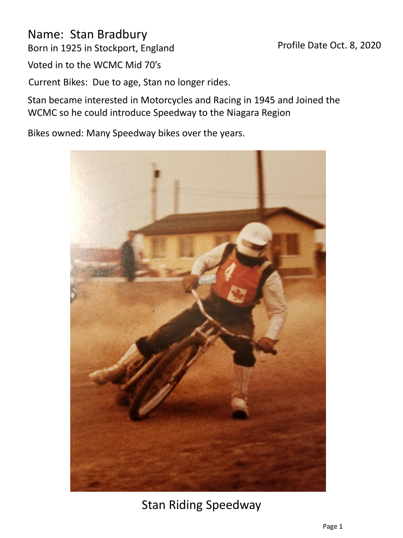### Name: Stan Bradbury Born in 1925 in Stockport, England

#### Profile Date Oct. 8, 2020

Voted in to the WCMC Mid 70's

Current Bikes: Due to age, Stan no longer rides.

Stan became interested in Motorcycles and Racing in 1945 and Joined the WCMC so he could introduce Speedway to the Niagara Region

Bikes owned: Many Speedway bikes over the years.



# Stan Riding Speedway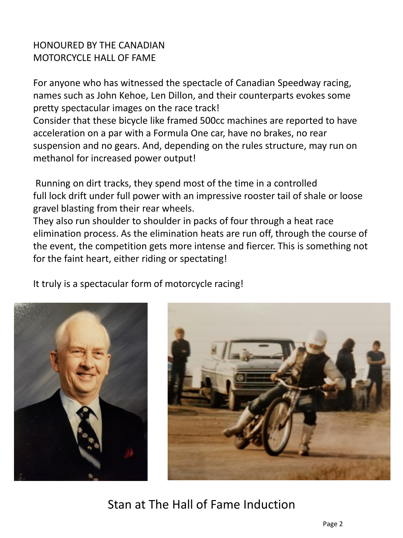#### HONOURED BY THE CANADIAN MOTORCYCLE HALL OF FAME

For anyone who has witnessed the spectacle of Canadian Speedway racing, names such as John Kehoe, Len Dillon, and their counterparts evokes some pretty spectacular images on the race track!

Consider that these bicycle like framed 500cc machines are reported to have acceleration on a par with a Formula One car, have no brakes, no rear suspension and no gears. And, depending on the rules structure, may run on methanol for increased power output!

Running on dirt tracks, they spend most of the time in a controlled full lock drift under full power with an impressive rooster tail of shale or loose gravel blasting from their rear wheels.

They also run shoulder to shoulder in packs of four through a heat race elimination process. As the elimination heats are run off, through the course of the event, the competition gets more intense and fiercer. This is something not for the faint heart, either riding or spectating!

It truly is a spectacular form of motorcycle racing!





# Stan at The Hall of Fame Induction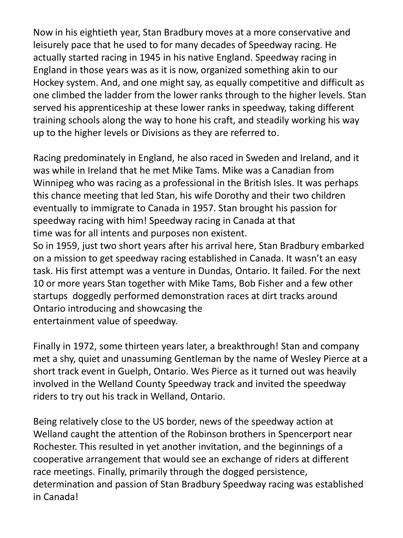Now in his eightieth year, Stan Bradbury moves at a more conservative and leisurely pace that he used to for many decades of Speedway racing. He actually started racing in 1945 in his native England. Speedway racing in England in those years was as it is now, organized something akin to our Hockey system. And, and one might say, as equally competitive and difficult as one climbed the ladder from the lower ranks through to the higher levels. Stan served his apprenticeship at these lower ranks in speedway, taking different training schools along the way to hone his craft, and steadily working his way up to the higher levels or Divisions as they are referred to.

Racing predominately in England, he also raced in Sweden and Ireland, and it was while in Ireland that he met Mike Tams. Mike was a Canadian from Winnipeg who was racing as a professional in the British Isles. It was perhaps this chance meeting that led Stan, his wife Dorothy and their two children eventually to immigrate to Canada in 1957. Stan brought his passion for speedway racing with him! Speedway racing in Canada at that time was for all intents and purposes non existent.

So in 1959, just two short years after his arrival here, Stan Bradbury embarked on a mission to get speedway racing established in Canada. It wasn't an easy task. His first attempt was a venture in Dundas, Ontario. It failed. For the next 10 or more years Stan together with Mike Tams, Bob Fisher and a few other startups doggedly performed demonstration races at dirt tracks around Ontario introducing and showcasing the entertainment value of speedway.

Finally in 1972, some thirteen years later, a breakthrough! Stan and company met a shy, quiet and unassuming Gentleman by the name of Wesley Pierce at a short track event in Guelph, Ontario. Wes Pierce as it turned out was heavily involved in the Welland County Speedway track and invited the speedway riders to try out his track in Welland, Ontario.

Being relatively close to the US border, news of the speedway action at Welland caught the attention of the Robinson brothers in Spencerport near Rochester. This resulted in yet another invitation, and the beginnings of a cooperative arrangement that would see an exchange of riders at different race meetings. Finally, primarily through the dogged persistence, determination and passion of Stan Bradbury Speedway racing was established in Canada!